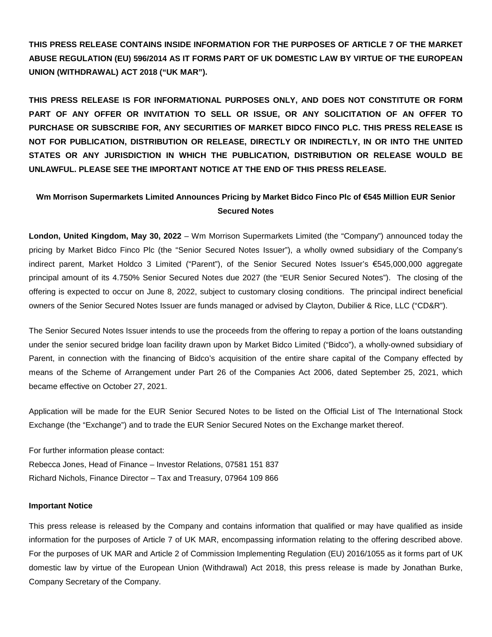**THIS PRESS RELEASE CONTAINS INSIDE INFORMATION FOR THE PURPOSES OF ARTICLE 7 OF THE MARKET ABUSE REGULATION (EU) 596/2014 AS IT FORMS PART OF UK DOMESTIC LAW BY VIRTUE OF THE EUROPEAN UNION (WITHDRAWAL) ACT 2018 ("UK MAR").**

**THIS PRESS RELEASE IS FOR INFORMATIONAL PURPOSES ONLY, AND DOES NOT CONSTITUTE OR FORM PART OF ANY OFFER OR INVITATION TO SELL OR ISSUE, OR ANY SOLICITATION OF AN OFFER TO PURCHASE OR SUBSCRIBE FOR, ANY SECURITIES OF MARKET BIDCO FINCO PLC. THIS PRESS RELEASE IS NOT FOR PUBLICATION, DISTRIBUTION OR RELEASE, DIRECTLY OR INDIRECTLY, IN OR INTO THE UNITED STATES OR ANY JURISDICTION IN WHICH THE PUBLICATION, DISTRIBUTION OR RELEASE WOULD BE UNLAWFUL. PLEASE SEE THE IMPORTANT NOTICE AT THE END OF THIS PRESS RELEASE.**

## **Wm Morrison Supermarkets Limited Announces Pricing by Market Bidco Finco Plc of €545 Million EUR Senior Secured Notes**

**London, United Kingdom, May 30, 2022** – Wm Morrison Supermarkets Limited (the "Company") announced today the pricing by Market Bidco Finco Plc (the "Senior Secured Notes Issuer"), a wholly owned subsidiary of the Company's indirect parent, Market Holdco 3 Limited ("Parent"), of the Senior Secured Notes Issuer's €545,000,000 aggregate principal amount of its 4.750% Senior Secured Notes due 2027 (the "EUR Senior Secured Notes"). The closing of the offering is expected to occur on June 8, 2022, subject to customary closing conditions. The principal indirect beneficial owners of the Senior Secured Notes Issuer are funds managed or advised by Clayton, Dubilier & Rice, LLC ("CD&R").

The Senior Secured Notes Issuer intends to use the proceeds from the offering to repay a portion of the loans outstanding under the senior secured bridge loan facility drawn upon by Market Bidco Limited ("Bidco"), a wholly-owned subsidiary of Parent, in connection with the financing of Bidco's acquisition of the entire share capital of the Company effected by means of the Scheme of Arrangement under Part 26 of the Companies Act 2006, dated September 25, 2021, which became effective on October 27, 2021.

Application will be made for the EUR Senior Secured Notes to be listed on the Official List of The International Stock Exchange (the "Exchange") and to trade the EUR Senior Secured Notes on the Exchange market thereof.

For further information please contact: Rebecca Jones, Head of Finance – Investor Relations, 07581 151 837 Richard Nichols, Finance Director – Tax and Treasury, 07964 109 866

## **Important Notice**

This press release is released by the Company and contains information that qualified or may have qualified as inside information for the purposes of Article 7 of UK MAR, encompassing information relating to the offering described above. For the purposes of UK MAR and Article 2 of Commission Implementing Regulation (EU) 2016/1055 as it forms part of UK domestic law by virtue of the European Union (Withdrawal) Act 2018, this press release is made by Jonathan Burke, Company Secretary of the Company.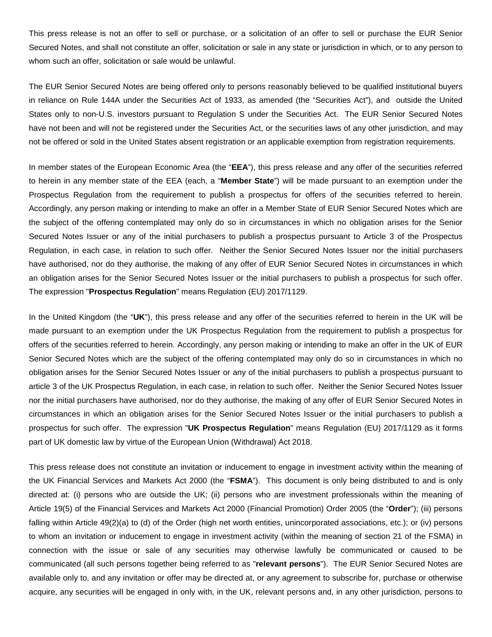This press release is not an offer to sell or purchase, or a solicitation of an offer to sell or purchase the EUR Senior Secured Notes, and shall not constitute an offer, solicitation or sale in any state or jurisdiction in which, or to any person to whom such an offer, solicitation or sale would be unlawful.

The EUR Senior Secured Notes are being offered only to persons reasonably believed to be qualified institutional buyers in reliance on Rule 144A under the Securities Act of 1933, as amended (the "Securities Act"), and outside the United States only to non-U.S. investors pursuant to Regulation S under the Securities Act. The EUR Senior Secured Notes have not been and will not be registered under the Securities Act, or the securities laws of any other jurisdiction, and may not be offered or sold in the United States absent registration or an applicable exemption from registration requirements.

In member states of the European Economic Area (the "**EEA**"), this press release and any offer of the securities referred to herein in any member state of the EEA (each, a "**Member State**") will be made pursuant to an exemption under the Prospectus Regulation from the requirement to publish a prospectus for offers of the securities referred to herein. Accordingly, any person making or intending to make an offer in a Member State of EUR Senior Secured Notes which are the subject of the offering contemplated may only do so in circumstances in which no obligation arises for the Senior Secured Notes Issuer or any of the initial purchasers to publish a prospectus pursuant to Article 3 of the Prospectus Regulation, in each case, in relation to such offer. Neither the Senior Secured Notes Issuer nor the initial purchasers have authorised, nor do they authorise, the making of any offer of EUR Senior Secured Notes in circumstances in which an obligation arises for the Senior Secured Notes Issuer or the initial purchasers to publish a prospectus for such offer. The expression "**Prospectus Regulation**" means Regulation (EU) 2017/1129.

In the United Kingdom (the "**UK**"), this press release and any offer of the securities referred to herein in the UK will be made pursuant to an exemption under the UK Prospectus Regulation from the requirement to publish a prospectus for offers of the securities referred to herein. Accordingly, any person making or intending to make an offer in the UK of EUR Senior Secured Notes which are the subject of the offering contemplated may only do so in circumstances in which no obligation arises for the Senior Secured Notes Issuer or any of the initial purchasers to publish a prospectus pursuant to article 3 of the UK Prospectus Regulation, in each case, in relation to such offer. Neither the Senior Secured Notes Issuer nor the initial purchasers have authorised, nor do they authorise, the making of any offer of EUR Senior Secured Notes in circumstances in which an obligation arises for the Senior Secured Notes Issuer or the initial purchasers to publish a prospectus for such offer. The expression "**UK Prospectus Regulation**" means Regulation (EU) 2017/1129 as it forms part of UK domestic law by virtue of the European Union (Withdrawal) Act 2018.

This press release does not constitute an invitation or inducement to engage in investment activity within the meaning of the UK Financial Services and Markets Act 2000 (the "**FSMA**"). This document is only being distributed to and is only directed at: (i) persons who are outside the UK; (ii) persons who are investment professionals within the meaning of Article 19(5) of the Financial Services and Markets Act 2000 (Financial Promotion) Order 2005 (the "**Order**"); (iii) persons falling within Article 49(2)(a) to (d) of the Order (high net worth entities, unincorporated associations, etc.); or (iv) persons to whom an invitation or inducement to engage in investment activity (within the meaning of section 21 of the FSMA) in connection with the issue or sale of any securities may otherwise lawfully be communicated or caused to be communicated (all such persons together being referred to as "**relevant persons**"). The EUR Senior Secured Notes are available only to, and any invitation or offer may be directed at, or any agreement to subscribe for, purchase or otherwise acquire, any securities will be engaged in only with, in the UK, relevant persons and, in any other jurisdiction, persons to